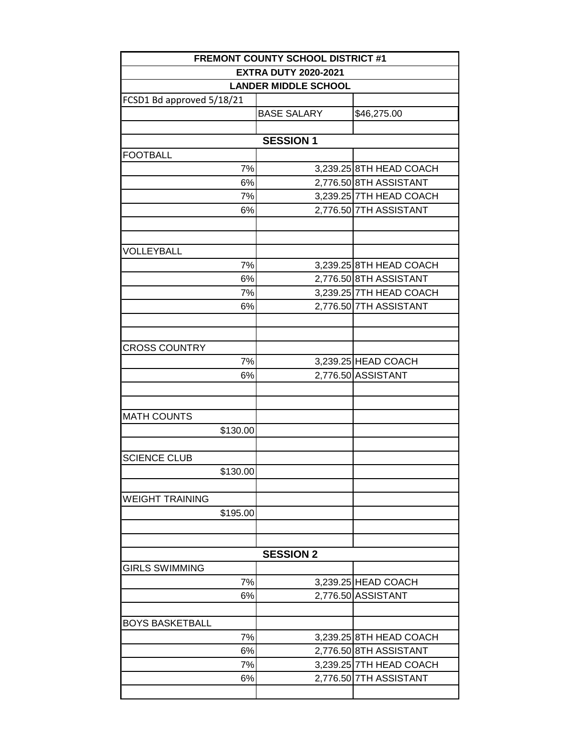|                                                            | <b>FREMONT COUNTY SCHOOL DISTRICT #1</b> |                         |  |  |  |
|------------------------------------------------------------|------------------------------------------|-------------------------|--|--|--|
| <b>EXTRA DUTY 2020-2021</b><br><b>LANDER MIDDLE SCHOOL</b> |                                          |                         |  |  |  |
|                                                            |                                          |                         |  |  |  |
|                                                            | <b>BASE SALARY</b>                       | \$46,275.00             |  |  |  |
|                                                            |                                          |                         |  |  |  |
|                                                            | <b>SESSION 1</b>                         |                         |  |  |  |
| <b>FOOTBALL</b>                                            |                                          |                         |  |  |  |
| 7%                                                         |                                          | 3,239.25 8TH HEAD COACH |  |  |  |
| 6%                                                         |                                          | 2,776.50 8TH ASSISTANT  |  |  |  |
| 7%                                                         |                                          | 3,239.25 7TH HEAD COACH |  |  |  |
| 6%                                                         |                                          | 2,776.50 7TH ASSISTANT  |  |  |  |
|                                                            |                                          |                         |  |  |  |
|                                                            |                                          |                         |  |  |  |
| VOLLEYBALL                                                 |                                          |                         |  |  |  |
| 7%                                                         |                                          | 3,239.25 8TH HEAD COACH |  |  |  |
| 6%                                                         |                                          | 2,776.50 8TH ASSISTANT  |  |  |  |
| 7%                                                         |                                          | 3,239.25 7TH HEAD COACH |  |  |  |
| 6%                                                         |                                          | 2,776.50 7TH ASSISTANT  |  |  |  |
|                                                            |                                          |                         |  |  |  |
|                                                            |                                          |                         |  |  |  |
| <b>CROSS COUNTRY</b>                                       |                                          |                         |  |  |  |
| 7%                                                         |                                          | 3,239.25 HEAD COACH     |  |  |  |
| 6%                                                         |                                          | 2,776.50 ASSISTANT      |  |  |  |
|                                                            |                                          |                         |  |  |  |
|                                                            |                                          |                         |  |  |  |
| <b>MATH COUNTS</b>                                         |                                          |                         |  |  |  |
| \$130.00                                                   |                                          |                         |  |  |  |
|                                                            |                                          |                         |  |  |  |
| <b>SCIENCE CLUB</b>                                        |                                          |                         |  |  |  |
| \$130.00                                                   |                                          |                         |  |  |  |
|                                                            |                                          |                         |  |  |  |
| <b>WEIGHT TRAINING</b>                                     |                                          |                         |  |  |  |
| \$195.00                                                   |                                          |                         |  |  |  |
|                                                            |                                          |                         |  |  |  |
|                                                            |                                          |                         |  |  |  |
|                                                            | <b>SESSION 2</b>                         |                         |  |  |  |
| <b>GIRLS SWIMMING</b>                                      |                                          |                         |  |  |  |
| 7%                                                         |                                          | 3,239.25 HEAD COACH     |  |  |  |
| 6%                                                         |                                          | 2,776.50 ASSISTANT      |  |  |  |
|                                                            |                                          |                         |  |  |  |
| <b>BOYS BASKETBALL</b>                                     |                                          |                         |  |  |  |
| 7%                                                         |                                          | 3,239.25 8TH HEAD COACH |  |  |  |
| 6%                                                         |                                          | 2,776.50 8TH ASSISTANT  |  |  |  |
| 7%                                                         |                                          | 3,239.25 7TH HEAD COACH |  |  |  |
| 6%                                                         |                                          | 2,776.50 7TH ASSISTANT  |  |  |  |
|                                                            |                                          |                         |  |  |  |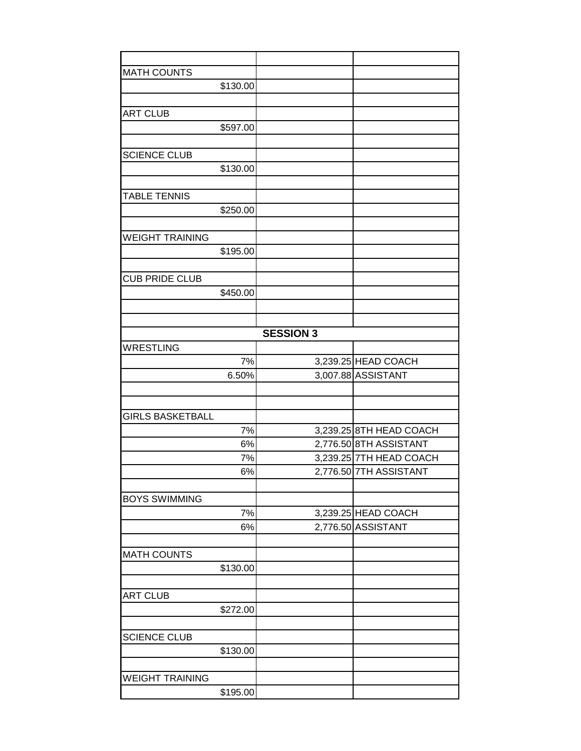| <b>MATH COUNTS</b>         |                  |                         |
|----------------------------|------------------|-------------------------|
| \$130.00                   |                  |                         |
|                            |                  |                         |
| <b>ART CLUB</b>            |                  |                         |
| \$597.00                   |                  |                         |
|                            |                  |                         |
| <b>SCIENCE CLUB</b>        |                  |                         |
| \$130.00                   |                  |                         |
|                            |                  |                         |
| <b>TABLE TENNIS</b>        |                  |                         |
| \$250.00                   |                  |                         |
|                            |                  |                         |
| <b>WEIGHT TRAINING</b>     |                  |                         |
| \$195.00                   |                  |                         |
| <b>CUB PRIDE CLUB</b>      |                  |                         |
| \$450.00                   |                  |                         |
|                            |                  |                         |
|                            |                  |                         |
|                            | <b>SESSION 3</b> |                         |
| <b>WRESTLING</b>           |                  |                         |
| 7%                         |                  | 3,239.25 HEAD COACH     |
| 6.50%                      |                  | 3,007.88 ASSISTANT      |
|                            |                  |                         |
|                            |                  |                         |
| <b>GIRLS BASKETBALL</b>    |                  |                         |
| 7%                         |                  | 3,239.25 8TH HEAD COACH |
| 6%                         |                  | 2,776.50 8TH ASSISTANT  |
| 7%                         |                  | 3,239.25 7TH HEAD COACH |
| 6%                         |                  | 2,776.50 7TH ASSISTANT  |
|                            |                  |                         |
| <b>BOYS SWIMMING</b><br>7% |                  | 3,239.25 HEAD COACH     |
| 6%                         |                  | 2,776.50 ASSISTANT      |
|                            |                  |                         |
| <b>MATH COUNTS</b>         |                  |                         |
| \$130.00                   |                  |                         |
|                            |                  |                         |
| <b>ART CLUB</b>            |                  |                         |
| \$272.00                   |                  |                         |
|                            |                  |                         |
| <b>SCIENCE CLUB</b>        |                  |                         |
| \$130.00                   |                  |                         |
|                            |                  |                         |
| <b>WEIGHT TRAINING</b>     |                  |                         |
| \$195.00                   |                  |                         |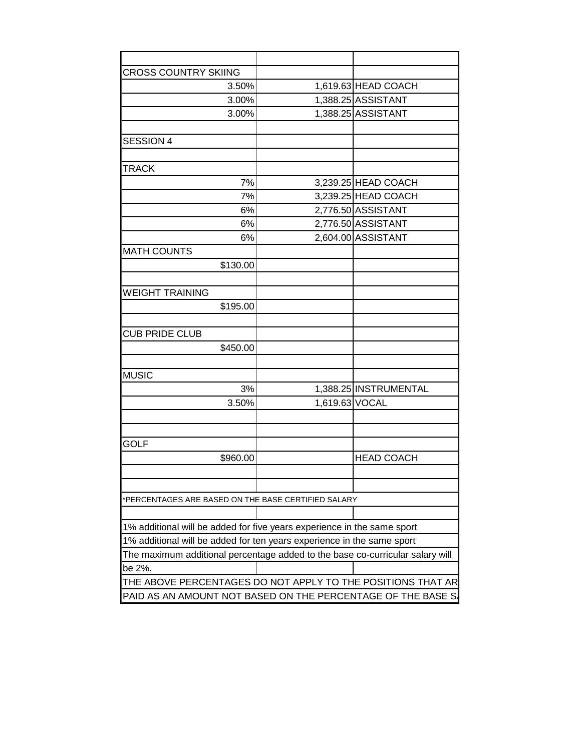| <b>CROSS COUNTRY SKIING</b>                                                   |                |                       |
|-------------------------------------------------------------------------------|----------------|-----------------------|
| 3.50%                                                                         |                | 1,619.63 HEAD COACH   |
| 3.00%                                                                         |                | 1,388.25 ASSISTANT    |
| 3.00%                                                                         |                | 1,388.25 ASSISTANT    |
|                                                                               |                |                       |
| <b>SESSION 4</b>                                                              |                |                       |
|                                                                               |                |                       |
| <b>TRACK</b>                                                                  |                |                       |
| 7%                                                                            |                | 3,239.25 HEAD COACH   |
| 7%                                                                            |                | 3,239.25 HEAD COACH   |
| 6%                                                                            |                | 2,776.50 ASSISTANT    |
| 6%                                                                            |                | 2,776.50 ASSISTANT    |
| 6%                                                                            |                | 2,604.00 ASSISTANT    |
| <b>MATH COUNTS</b>                                                            |                |                       |
| \$130.00                                                                      |                |                       |
|                                                                               |                |                       |
| <b>WEIGHT TRAINING</b>                                                        |                |                       |
| \$195.00                                                                      |                |                       |
|                                                                               |                |                       |
| <b>CUB PRIDE CLUB</b>                                                         |                |                       |
| \$450.00                                                                      |                |                       |
|                                                                               |                |                       |
| <b>MUSIC</b>                                                                  |                |                       |
| 3%                                                                            |                | 1,388.25 INSTRUMENTAL |
| 3.50%                                                                         | 1,619.63 VOCAL |                       |
|                                                                               |                |                       |
|                                                                               |                |                       |
| <b>GOLF</b>                                                                   |                |                       |
| \$960.00                                                                      |                | <b>HEAD COACH</b>     |
|                                                                               |                |                       |
|                                                                               |                |                       |
| *PERCENTAGES ARE BASED ON THE BASE CERTIFIED SALARY                           |                |                       |
|                                                                               |                |                       |
| 1% additional will be added for five years experience in the same sport       |                |                       |
| 1% additional will be added for ten years experience in the same sport        |                |                       |
| The maximum additional percentage added to the base co-curricular salary will |                |                       |
| be 2%.                                                                        |                |                       |
| THE ABOVE PERCENTAGES DO NOT APPLY TO THE POSITIONS THAT AR                   |                |                       |
|                                                                               |                |                       |